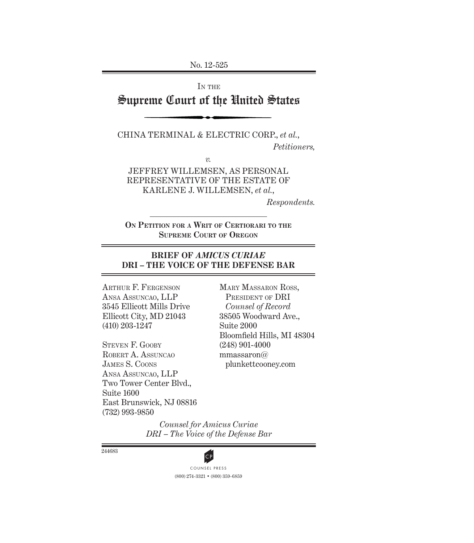No. 12-525

IN THE

# Supreme Court of the United States

CHINA TERMINAL & ELECTRIC CORP., *et al.*, *Petitioners,*

*v.*

JEFFREY WILLEMSEN, AS PERSONAL REPRESENTATIVE OF THE ESTATE OF KARLENE J. WILLEMSEN, *et al.*,

*Respondents.*

**ON PETITION FOR A WRIT OF CERTIORARI TO THE SUPREME COURT OF OREGON**

## **BRIEF OF** *AMICUS CURIAE* **DRI – THE VOICE OF THE DEFENSE BAR**

ARTHUR F. FERGENSON ANSA ASSUNCAO, LLP 3545 Ellicott Mills Drive Ellicott City, MD 21043 (410) 203-1247

STEVEN F. GOOBY ROBERT A. ASSUNCAO JAMES S. COONS ANSA ASSUNCAO, LLP Two Tower Center Blvd., Suite 1600 East Brunswick, NJ 08816 (732) 993-9850

MARY MASSARON ROSS, PRESIDENT OF DRI *Counsel of Record* 38505 Woodward Ave., Suite 2000 Bloomfield Hills, MI 48304 (248) 901-4000 mmassaron@ plunkettcooney.com

*Counsel for Amicus Curiae DRI – The Voice of the Defense Bar*

244683



(800) 274-3321 • (800) 359-6859 **CP**<br>COUNSEL PRESS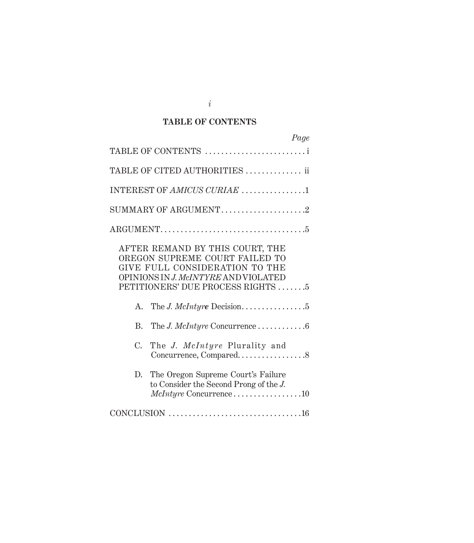## **TABLE OF CONTENTS**

| Page                                                                                                                                                                             |
|----------------------------------------------------------------------------------------------------------------------------------------------------------------------------------|
| TABLE OF CONTENTS                                                                                                                                                                |
| TABLE OF CITED AUTHORITIES  ii                                                                                                                                                   |
| INTEREST OF AMICUS CURIAE 1                                                                                                                                                      |
| SUMMARY OF ARGUMENT2                                                                                                                                                             |
|                                                                                                                                                                                  |
| AFTER REMAND BY THIS COURT, THE<br>OREGON SUPREME COURT FAILED TO<br>GIVE FULL CONSIDERATION TO THE<br>OPINIONS IN J. McINTYRE AND VIOLATED<br>PETITIONERS' DUE PROCESS RIGHTS 5 |
|                                                                                                                                                                                  |
| B. The J. McIntyre Concurrence 6                                                                                                                                                 |
| $C_{\cdot}$<br>The J. McIntyre Plurality and<br>Concurrence, Compared8                                                                                                           |
| The Oregon Supreme Court's Failure<br>D.<br>to Consider the Second Prong of the J.<br>McIntyre Concurrence10                                                                     |
|                                                                                                                                                                                  |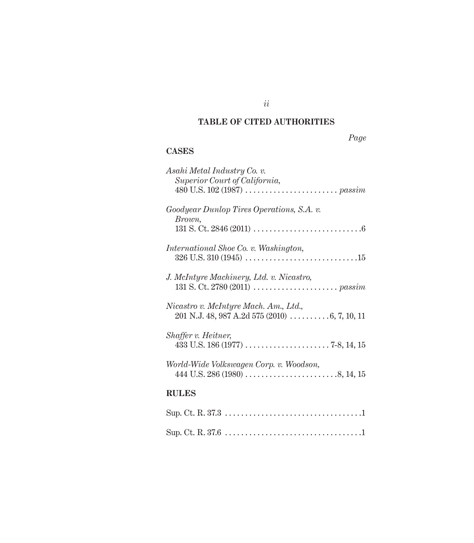# **TABLE OF CITED AUTHORITIES**

*ii*

*Page*

# **CASES**

| Asahi Metal Industry Co. v.               |
|-------------------------------------------|
| Superior Court of California,             |
|                                           |
| Goodyear Dunlop Tires Operations, S.A. v. |
| Brown,                                    |
|                                           |
| International Shoe Co. v. Washington,     |
|                                           |
| J. McIntyre Machinery, Ltd. v. Nicastro,  |
|                                           |
|                                           |
| Nicastro v. McIntyre Mach. Am., Ltd.,     |
|                                           |
| Shaffer v. Heitner,                       |
|                                           |
| World-Wide Volkswagen Corp. v. Woodson,   |
|                                           |
| <b>RULES</b>                              |
|                                           |
|                                           |
|                                           |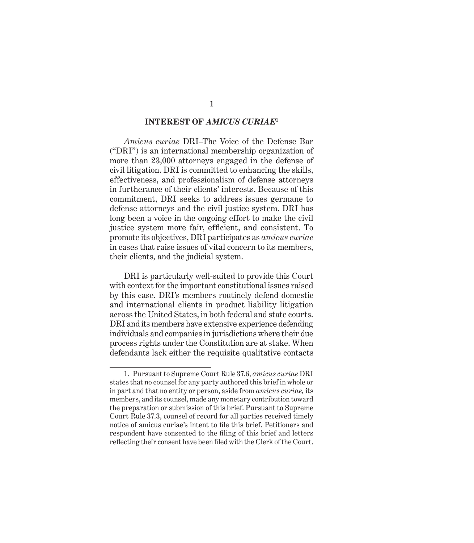#### **INTEREST OF** *AMICUS CURIAE***<sup>1</sup>**

*Amicus curiae* DRI–The Voice of the Defense Bar ("DRI") is an international membership organization of more than 23,000 attorneys engaged in the defense of civil litigation. DRI is committed to enhancing the skills, effectiveness, and professionalism of defense attorneys in furtherance of their clients' interests. Because of this commitment, DRI seeks to address issues germane to defense attorneys and the civil justice system. DRI has long been a voice in the ongoing effort to make the civil justice system more fair, efficient, and consistent. To promote its objectives, DRI participates as *amicus curiae* in cases that raise issues of vital concern to its members, their clients, and the judicial system.

DRI is particularly well-suited to provide this Court with context for the important constitutional issues raised by this case. DRI's members routinely defend domestic and international clients in product liability litigation across the United States, in both federal and state courts. DRI and its members have extensive experience defending individuals and companies in jurisdictions where their due process rights under the Constitution are at stake. When defendants lack either the requisite qualitative contacts

<sup>1.</sup> Pursuant to Supreme Court Rule 37.6, *amicus curiae* DRI states that no counsel for any party authored this brief in whole or in part and that no entity or person, aside from *amicus curiae,* its members, and its counsel, made any monetary contribution toward the preparation or submission of this brief. Pursuant to Supreme Court Rule 37.3, counsel of record for all parties received timely notice of amicus curiae's intent to file this brief. Petitioners and respondent have consented to the filing of this brief and letters reflecting their consent have been filed with the Clerk of the Court.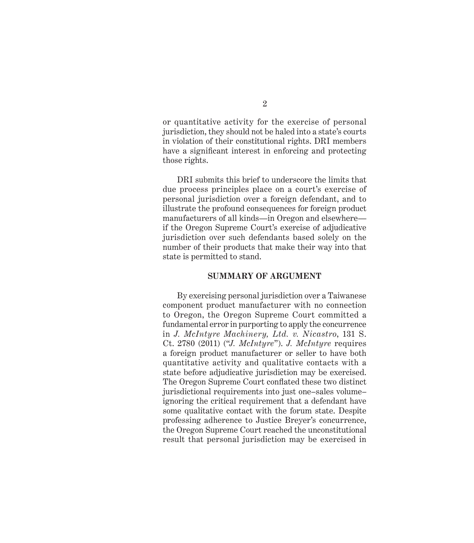or quantitative activity for the exercise of personal jurisdiction, they should not be haled into a state's courts in violation of their constitutional rights. DRI members have a significant interest in enforcing and protecting those rights.

DRI submits this brief to underscore the limits that due process principles place on a court's exercise of personal jurisdiction over a foreign defendant, and to illustrate the profound consequences for foreign product manufacturers of all kinds—in Oregon and elsewhere if the Oregon Supreme Court's exercise of adjudicative jurisdiction over such defendants based solely on the number of their products that make their way into that state is permitted to stand.

#### **SUMMARY OF ARGUMENT**

By exercising personal jurisdiction over a Taiwanese component product manufacturer with no connection to Oregon, the Oregon Supreme Court committed a fundamental error in purporting to apply the concurrence in *J. McIntyre Machinery, Ltd. v. Nicastro*, 131 S. Ct. 2780 (2011) ("*J. McIntyre*"). *J. McIntyre* requires a foreign product manufacturer or seller to have both quantitative activity and qualitative contacts with a state before adjudicative jurisdiction may be exercised. The Oregon Supreme Court conflated these two distinct jurisdictional requirements into just one–sales volume– ignoring the critical requirement that a defendant have some qualitative contact with the forum state. Despite professing adherence to Justice Breyer's concurrence, the Oregon Supreme Court reached the unconstitutional result that personal jurisdiction may be exercised in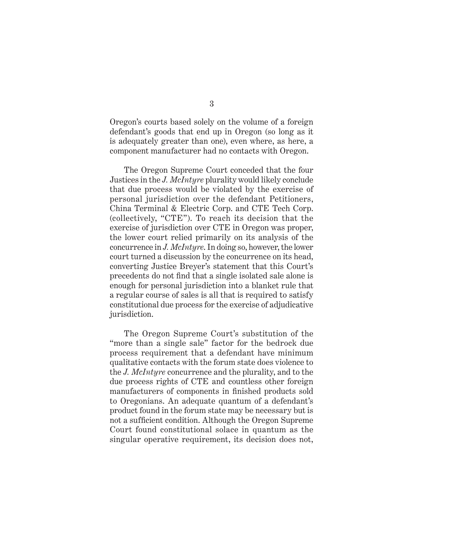Oregon's courts based solely on the volume of a foreign defendant's goods that end up in Oregon (so long as it is adequately greater than one), even where, as here, a component manufacturer had no contacts with Oregon.

The Oregon Supreme Court conceded that the four Justices in the *J. McIntyre* plurality would likely conclude that due process would be violated by the exercise of personal jurisdiction over the defendant Petitioners, China Terminal & Electric Corp. and CTE Tech Corp. (collectively, "CTE"). To reach its decision that the exercise of jurisdiction over CTE in Oregon was proper, the lower court relied primarily on its analysis of the concurrence in *J. McIntyre*. In doing so, however, the lower court turned a discussion by the concurrence on its head, converting Justice Breyer's statement that this Court's precedents do not find that a single isolated sale alone is enough for personal jurisdiction into a blanket rule that a regular course of sales is all that is required to satisfy constitutional due process for the exercise of adjudicative jurisdiction.

The Oregon Supreme Court's substitution of the "more than a single sale" factor for the bedrock due process requirement that a defendant have minimum qualitative contacts with the forum state does violence to the *J. McIntyre* concurrence and the plurality, and to the due process rights of CTE and countless other foreign manufacturers of components in finished products sold to Oregonians. An adequate quantum of a defendant's product found in the forum state may be necessary but is not a sufficient condition. Although the Oregon Supreme Court found constitutional solace in quantum as the singular operative requirement, its decision does not,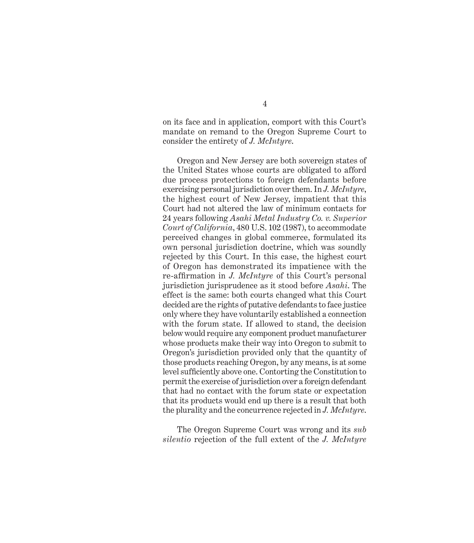on its face and in application, comport with this Court's mandate on remand to the Oregon Supreme Court to consider the entirety of *J. McIntyre*.

Oregon and New Jersey are both sovereign states of the United States whose courts are obligated to afford due process protections to foreign defendants before exercising personal jurisdiction over them. In *J. McIntyre*, the highest court of New Jersey, impatient that this Court had not altered the law of minimum contacts for 24 years following *Asahi Metal Industry Co. v. Superior Court of California*, 480 U.S. 102 (1987), to accommodate perceived changes in global commerce, formulated its own personal jurisdiction doctrine, which was soundly rejected by this Court. In this case, the highest court of Oregon has demonstrated its impatience with the re-affirmation in *J. McIntyre* of this Court's personal jurisdiction jurisprudence as it stood before *Asahi*. The effect is the same: both courts changed what this Court decided are the rights of putative defendants to face justice only where they have voluntarily established a connection with the forum state. If allowed to stand, the decision below would require any component product manufacturer whose products make their way into Oregon to submit to Oregon's jurisdiction provided only that the quantity of those products reaching Oregon, by any means, is at some level sufficiently above one. Contorting the Constitution to permit the exercise of jurisdiction over a foreign defendant that had no contact with the forum state or expectation that its products would end up there is a result that both the plurality and the concurrence rejected in *J. McIntyre*.

The Oregon Supreme Court was wrong and its *sub silentio* rejection of the full extent of the *J. McIntyre*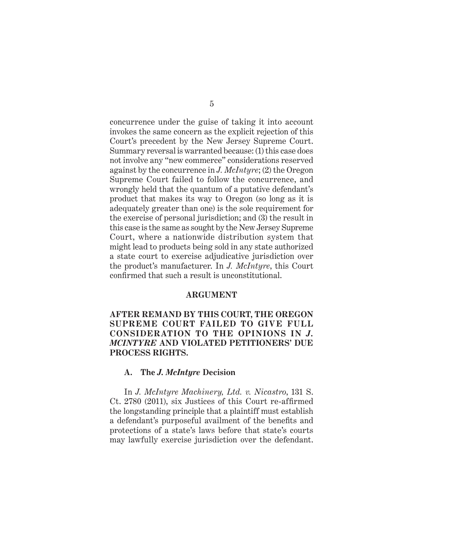concurrence under the guise of taking it into account invokes the same concern as the explicit rejection of this Court's precedent by the New Jersey Supreme Court. Summary reversal is warranted because: (1) this case does not involve any "new commerce" considerations reserved against by the concurrence in *J. McIntyre*; (2) the Oregon Supreme Court failed to follow the concurrence, and wrongly held that the quantum of a putative defendant's product that makes its way to Oregon (so long as it is adequately greater than one) is the sole requirement for the exercise of personal jurisdiction; and (3) the result in this case is the same as sought by the New Jersey Supreme Court, where a nationwide distribution system that might lead to products being sold in any state authorized a state court to exercise adjudicative jurisdiction over the product's manufacturer. In *J. McIntyre*, this Court confirmed that such a result is unconstitutional.

#### **ARGUMENT**

**AFTER REMAND BY THIS COURT, THE OREGON SUPREME COURT FAILED TO GIVE FULL CONSIDERATION TO THE OPINIONS IN** *J. MCINTYRE* **AND VIOLATED PETITIONERS' DUE PROCESS RIGHTS.** 

#### **A. The** *J. McIntyre* **Decision**

In *J. McIntyre Machinery, Ltd. v. Nicastro*, 131 S.  $Ct. 2780$  (2011), six Justices of this Court re-affirmed the longstanding principle that a plaintiff must establish a defendant's purposeful availment of the benefits and protections of a state's laws before that state's courts may lawfully exercise jurisdiction over the defendant.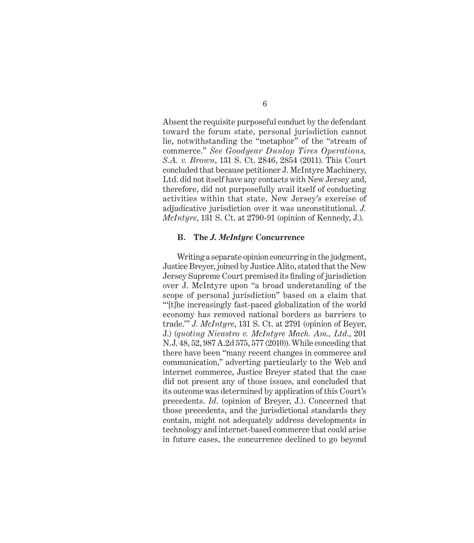Absent the requisite purposeful conduct by the defendant toward the forum state, personal jurisdiction cannot lie, notwithstanding the "metaphor" of the "stream of commerce." *See Goodyear Dunlop Tires Operations, S.A. v. Brown*, 131 S. Ct. 2846, 2854 (2011). This Court concluded that because petitioner J. McIntyre Machinery, Ltd. did not itself have any contacts with New Jersey and, therefore, did not purposefully avail itself of conducting activities within that state, New Jersey's exercise of adjudicative jurisdiction over it was unconstitutional. *J. McIntyre*, 131 S. Ct. at 2790-91 (opinion of Kennedy, J.).

#### **B. The** *J. McIntyre* **Concurrence**

Writing a separate opinion concurring in the judgment, Justice Breyer, joined by Justice Alito, stated that the New Jersey Supreme Court premised its finding of jurisdiction over J. McIntyre upon "a broad understanding of the scope of personal jurisdiction" based on a claim that "'[t]he increasingly fast-paced globalization of the world economy has removed national borders as barriers to trade.'" *J. McIntyre*, 131 S. Ct. at 2791 (opinion of Beyer, J.) (*quoting Nicastro v. McIntyre Mach. Am., Ltd.*, 201 N.J. 48, 52, 987 A.2d 575, 577 (2010)). While conceding that there have been "many recent changes in commerce and communication," adverting particularly to the Web and internet commerce, Justice Breyer stated that the case did not present any of those issues, and concluded that its outcome was determined by application of this Court's precedents. *Id*. (opinion of Breyer, J.). Concerned that those precedents, and the jurisdictional standards they contain, might not adequately address developments in technology and internet-based commerce that could arise in future cases, the concurrence declined to go beyond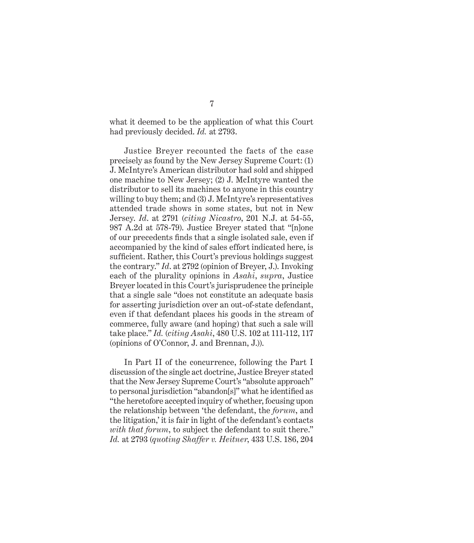what it deemed to be the application of what this Court had previously decided. *Id.* at 2793.

Justice Breyer recounted the facts of the case precisely as found by the New Jersey Supreme Court: (1) J. McIntyre's American distributor had sold and shipped one machine to New Jersey; (2) J. McIntyre wanted the distributor to sell its machines to anyone in this country willing to buy them; and (3) J. McIntyre's representatives attended trade shows in some states, but not in New Jersey. *Id*. at 2791 (*citing Nicastro*, 201 N.J. at 54-55, 987 A.2d at 578-79). Justice Breyer stated that "[n]one of our precedents finds that a single isolated sale, even if accompanied by the kind of sales effort indicated here, is sufficient. Rather, this Court's previous holdings suggest the contrary." *Id*. at 2792 (opinion of Breyer, J.). Invoking each of the plurality opinions in *Asahi*, *supra*, Justice Breyer located in this Court's jurisprudence the principle that a single sale "does not constitute an adequate basis for asserting jurisdiction over an out-of-state defendant, even if that defendant places his goods in the stream of commerce, fully aware (and hoping) that such a sale will take place." *Id.* (*citing Asahi*, 480 U.S. 102 at 111-112, 117 (opinions of O'Connor, J. and Brennan, J.)).

In Part II of the concurrence, following the Part I discussion of the single act doctrine, Justice Breyer stated that the New Jersey Supreme Court's "absolute approach" to personal jurisdiction "abandon[s]" what he identified as "the heretofore accepted inquiry of whether, focusing upon the relationship between 'the defendant, the *forum*, and the litigation,' it is fair in light of the defendant's contacts with that forum, to subject the defendant to suit there." *Id.* at 2793 (*quoting Shaffer v. Heitner*, 433 U.S. 186, 204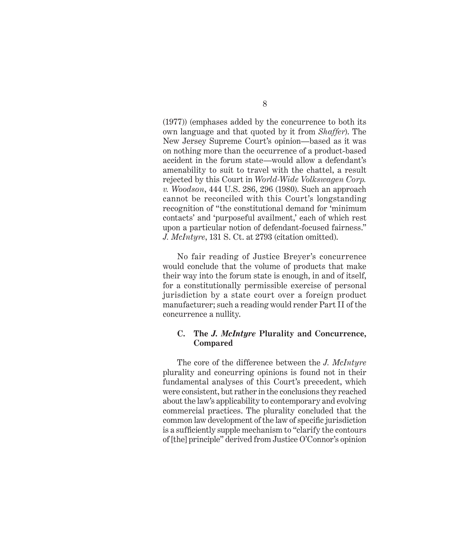(1977)) (emphases added by the concurrence to both its own language and that quoted by it from *Shaffer*). The New Jersey Supreme Court's opinion—based as it was on nothing more than the occurrence of a product-based accident in the forum state—would allow a defendant's amenability to suit to travel with the chattel, a result rejected by this Court in *World-Wide Volkswagen Corp. v. Woodson*, 444 U.S. 286, 296 (1980). Such an approach cannot be reconciled with this Court's longstanding recognition of "the constitutional demand for 'minimum contacts' and 'purposeful availment,' each of which rest upon a particular notion of defendant-focused fairness." *J. McIntyre*, 131 S. Ct. at 2793 (citation omitted).

No fair reading of Justice Breyer's concurrence would conclude that the volume of products that make their way into the forum state is enough, in and of itself, for a constitutionally permissible exercise of personal jurisdiction by a state court over a foreign product manufacturer; such a reading would render Part II of the concurrence a nullity.

## **C. The** *J. McIntyre* **Plurality and Concurrence, Compared**

The core of the difference between the *J. McIntyre* plurality and concurring opinions is found not in their fundamental analyses of this Court's precedent, which were consistent, but rather in the conclusions they reached about the law's applicability to contemporary and evolving commercial practices. The plurality concluded that the common law development of the law of specific jurisdiction is a sufficiently supple mechanism to "clarify the contours" of [the] principle" derived from Justice O'Connor's opinion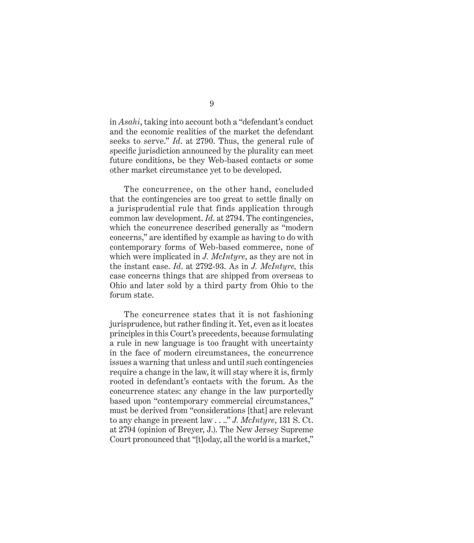in *Asahi*, taking into account both a "defendant's conduct and the economic realities of the market the defendant seeks to serve." *Id*. at 2790. Thus, the general rule of specific jurisdiction announced by the plurality can meet future conditions, be they Web-based contacts or some other market circumstance yet to be developed.

The concurrence, on the other hand, concluded that the contingencies are too great to settle finally on a jurisprudential rule that finds application through common law development. *Id*. at 2794. The contingencies, which the concurrence described generally as "modern concerns," are identified by example as having to do with contemporary forms of Web-based commerce, none of which were implicated in *J. McIntyre*, as they are not in the instant case. *Id*. at 2792-93. As in *J. McIntyre,* this case concerns things that are shipped from overseas to Ohio and later sold by a third party from Ohio to the forum state.

The concurrence states that it is not fashioning jurisprudence, but rather finding it. Yet, even as it locates principles in this Court's precedents, because formulating a rule in new language is too fraught with uncertainty in the face of modern circumstances, the concurrence issues a warning that unless and until such contingencies require a change in the law, it will stay where it is, firmly rooted in defendant's contacts with the forum. As the concurrence states: any change in the law purportedly based upon "contemporary commercial circumstances," must be derived from "considerations [that] are relevant to any change in present law . . .." *J. McIntyre*, 131 S. Ct. at 2794 (opinion of Breyer, J.). The New Jersey Supreme Court pronounced that "[t]oday, all the world is a market,"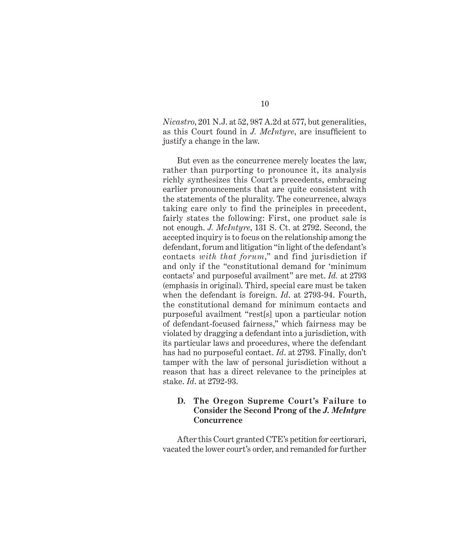*Nicastro*, 201 N.J. at 52, 987 A.2d at 577, but generalities, as this Court found in *J. McIntyre*, are insufficient to justify a change in the law.

But even as the concurrence merely locates the law, rather than purporting to pronounce it, its analysis richly synthesizes this Court's precedents, embracing earlier pronouncements that are quite consistent with the statements of the plurality. The concurrence, always taking care only to find the principles in precedent, fairly states the following: First, one product sale is not enough. *J. McIntyre*, 131 S. Ct. at 2792. Second, the accepted inquiry is to focus on the relationship among the defendant, forum and litigation "in light of the defendant's contacts *with that forum*," and find jurisdiction if and only if the "constitutional demand for 'minimum contacts' and purposeful availment" are met. *Id.* at 2793 (emphasis in original). Third, special care must be taken when the defendant is foreign. *Id*. at 2793-94. Fourth, the constitutional demand for minimum contacts and purposeful availment "rest[s] upon a particular notion of defendant-focused fairness," which fairness may be violated by dragging a defendant into a jurisdiction, with its particular laws and procedures, where the defendant has had no purposeful contact. *Id*. at 2793. Finally, don't tamper with the law of personal jurisdiction without a reason that has a direct relevance to the principles at stake. *Id*. at 2792-93.

### **D. The Oregon Supreme Court's Failure to Consider the Second Prong of the** *J. McIntyre* **Concurrence**

After this Court granted CTE's petition for certiorari, vacated the lower court's order, and remanded for further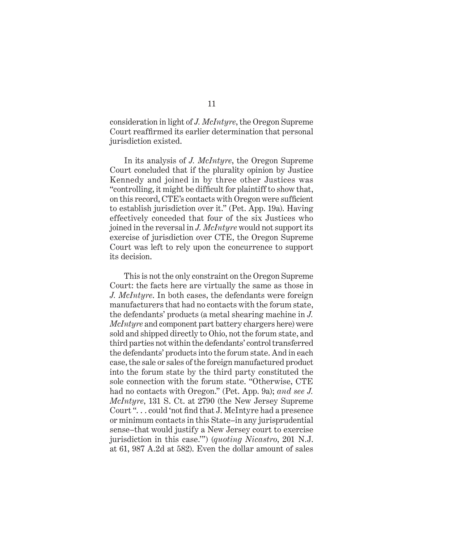consideration in light of *J. McIntyre*, the Oregon Supreme Court reaffirmed its earlier determination that personal jurisdiction existed.

In its analysis of *J. McIntyre*, the Oregon Supreme Court concluded that if the plurality opinion by Justice Kennedy and joined in by three other Justices was "controlling, it might be difficult for plaintiff to show that, on this record, CTE's contacts with Oregon were sufficient to establish jurisdiction over it." (Pet. App. 19a). Having effectively conceded that four of the six Justices who joined in the reversal in *J. McIntyre* would not support its exercise of jurisdiction over CTE, the Oregon Supreme Court was left to rely upon the concurrence to support its decision.

This is not the only constraint on the Oregon Supreme Court: the facts here are virtually the same as those in *J. McIntyre*. In both cases, the defendants were foreign manufacturers that had no contacts with the forum state, the defendants' products (a metal shearing machine in *J. McIntyre* and component part battery chargers here) were sold and shipped directly to Ohio, not the forum state, and third parties not within the defendants' control transferred the defendants' products into the forum state. And in each case, the sale or sales of the foreign manufactured product into the forum state by the third party constituted the sole connection with the forum state. "Otherwise, CTE had no contacts with Oregon." (Pet. App. 9a); *and see J. McIntyre*, 131 S. Ct. at 2790 (the New Jersey Supreme Court "... could 'not find that J. McIntyre had a presence or minimum contacts in this State–in any jurisprudential sense–that would justify a New Jersey court to exercise jurisdiction in this case.'") (*quoting Nicastro*, 201 N.J. at 61, 987 A.2d at 582). Even the dollar amount of sales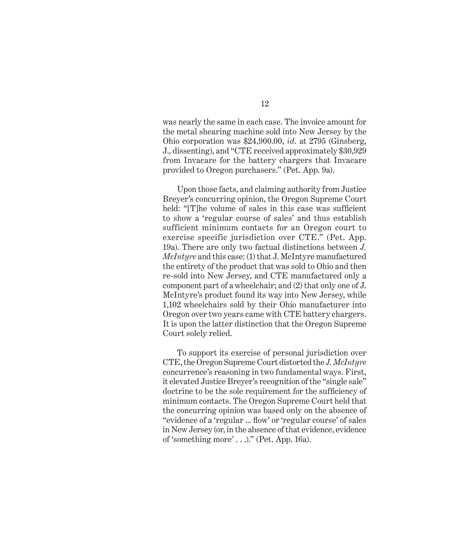was nearly the same in each case. The invoice amount for the metal shearing machine sold into New Jersey by the Ohio corporation was \$24,900.00, *id*. at 2795 (Ginsberg, J., dissenting), and "CTE received approximately \$30,929 from Invacare for the battery chargers that Invacare provided to Oregon purchasers." (Pet. App. 9a).

Upon those facts, and claiming authority from Justice Breyer's concurring opinion, the Oregon Supreme Court held: "[T]he volume of sales in this case was sufficient to show a 'regular course of sales' and thus establish sufficient minimum contacts for an Oregon court to exercise specific jurisdiction over CTE." (Pet. App. 19a). There are only two factual distinctions between *J. McIntyre* and this case: (1) that J. McIntyre manufactured the entirety of the product that was sold to Ohio and then re-sold into New Jersey, and CTE manufactured only a component part of a wheelchair; and (2) that only one of J. McIntyre's product found its way into New Jersey, while 1,102 wheelchairs sold by their Ohio manufacturer into Oregon over two years came with CTE battery chargers. It is upon the latter distinction that the Oregon Supreme Court solely relied.

To support its exercise of personal jurisdiction over CTE, the Oregon Supreme Court distorted the *J. McIntyre*  concurrence's reasoning in two fundamental ways. First, it elevated Justice Breyer's recognition of the "single sale" doctrine to be the sole requirement for the sufficiency of minimum contacts. The Oregon Supreme Court held that the concurring opinion was based only on the absence of "evidence of a 'regular ... flow' or 'regular course' of sales in New Jersey (or, in the absence of that evidence, evidence of 'something more' . . .)." (Pet. App. 16a).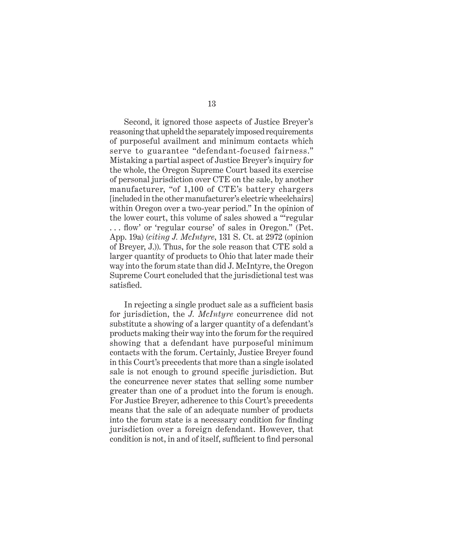Second, it ignored those aspects of Justice Breyer's reasoning that upheld the separately imposed requirements of purposeful availment and minimum contacts which serve to guarantee "defendant-focused fairness." Mistaking a partial aspect of Justice Breyer's inquiry for the whole, the Oregon Supreme Court based its exercise of personal jurisdiction over CTE on the sale, by another manufacturer, "of 1,100 of CTE's battery chargers [included in the other manufacturer's electric wheelchairs] within Oregon over a two-year period." In the opinion of the lower court, this volume of sales showed a "'regular ... flow' or 'regular course' of sales in Oregon." (Pet. App. 19a) (*citing J. McIntyre*, 131 S. Ct. at 2972 (opinion of Breyer, J.)). Thus, for the sole reason that CTE sold a larger quantity of products to Ohio that later made their way into the forum state than did J. McIntyre, the Oregon Supreme Court concluded that the jurisdictional test was satisfied.

In rejecting a single product sale as a sufficient basis for jurisdiction, the *J. McIntyre* concurrence did not substitute a showing of a larger quantity of a defendant's products making their way into the forum for the required showing that a defendant have purposeful minimum contacts with the forum. Certainly, Justice Breyer found in this Court's precedents that more than a single isolated sale is not enough to ground specific jurisdiction. But the concurrence never states that selling some number greater than one of a product into the forum is enough. For Justice Breyer, adherence to this Court's precedents means that the sale of an adequate number of products into the forum state is a necessary condition for finding jurisdiction over a foreign defendant. However, that condition is not, in and of itself, sufficient to find personal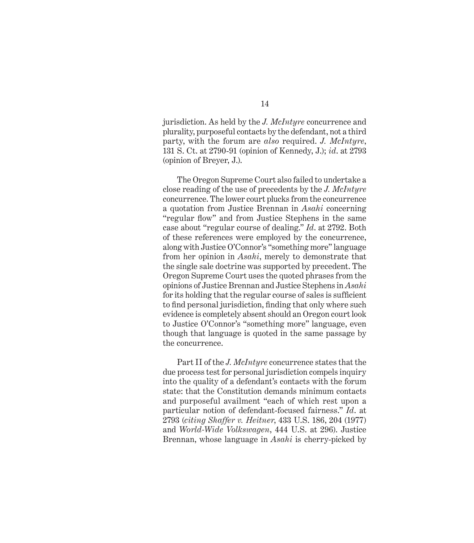jurisdiction. As held by the *J. McIntyre* concurrence and plurality, purposeful contacts by the defendant, not a third party, with the forum are *also* required. *J. McIntyre*, 131 S. Ct. at 2790-91 (opinion of Kennedy, J.); *id*. at 2793 (opinion of Breyer, J.).

The Oregon Supreme Court also failed to undertake a close reading of the use of precedents by the *J. McIntyre* concurrence. The lower court plucks from the concurrence a quotation from Justice Brennan in *Asahi* concerning "regular flow" and from Justice Stephens in the same case about "regular course of dealing." *Id*. at 2792. Both of these references were employed by the concurrence, along with Justice O'Connor's "something more" language from her opinion in *Asahi*, merely to demonstrate that the single sale doctrine was supported by precedent. The Oregon Supreme Court uses the quoted phrases from the opinions of Justice Brennan and Justice Stephens in *Asahi* for its holding that the regular course of sales is sufficient to find personal jurisdiction, finding that only where such evidence is completely absent should an Oregon court look to Justice O'Connor's "something more" language, even though that language is quoted in the same passage by the concurrence.

Part II of the *J. McIntyre* concurrence states that the due process test for personal jurisdiction compels inquiry into the quality of a defendant's contacts with the forum state: that the Constitution demands minimum contacts and purposeful availment "each of which rest upon a particular notion of defendant-focused fairness." *Id*. at 2793 (*citing Shaffer v. Heitner*, 433 U.S. 186, 204 (1977) and *World-Wide Volkswagen*, 444 U.S. at 296). Justice Brennan, whose language in *Asahi* is cherry-picked by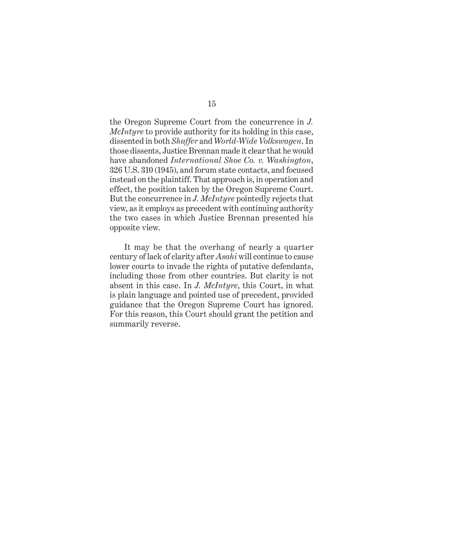the Oregon Supreme Court from the concurrence in *J. McIntyre* to provide authority for its holding in this case, dissented in both *Shaffer* and *World-Wide Volkswagen*. In those dissents, Justice Brennan made it clear that he would have abandoned *International Shoe Co. v. Washington*, 326 U.S. 310 (1945), and forum state contacts, and focused instead on the plaintiff. That approach is, in operation and effect, the position taken by the Oregon Supreme Court. But the concurrence in *J. McIntyre* pointedly rejects that view, as it employs as precedent with continuing authority the two cases in which Justice Brennan presented his opposite view.

It may be that the overhang of nearly a quarter century of lack of clarity after *Asahi* will continue to cause lower courts to invade the rights of putative defendants, including those from other countries. But clarity is not absent in this case. In *J. McIntyre*, this Court, in what is plain language and pointed use of precedent, provided guidance that the Oregon Supreme Court has ignored. For this reason, this Court should grant the petition and summarily reverse.